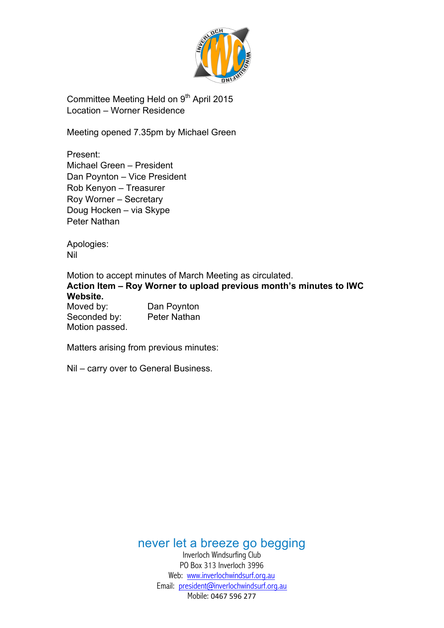

Committee Meeting Held on 9<sup>th</sup> April 2015 Location – Worner Residence

Meeting opened 7.35pm by Michael Green

Present: Michael Green – President Dan Poynton – Vice President Rob Kenyon – Treasurer Roy Worner – Secretary Doug Hocken – via Skype Peter Nathan

Apologies: Nil

Motion to accept minutes of March Meeting as circulated. **Action Item – Roy Worner to upload previous month's minutes to IWC Website.**

Moved by: Dan Poynton<br>Seconded by: Peter Nathan Seconded by: Motion passed.

Matters arising from previous minutes:

Nil – carry over to General Business.

never let a breeze go begging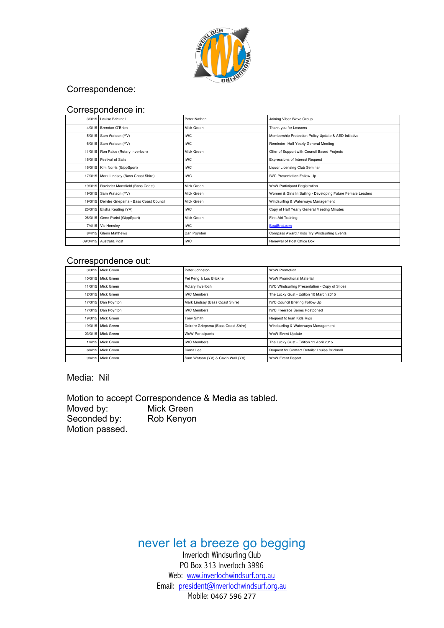

### Correspondence:

#### Correspondence in:

| 3/3/15 Louise Bricknall                       | Peter Nathan                                               | Joining Viber Wave Group                                    |  |  |
|-----------------------------------------------|------------------------------------------------------------|-------------------------------------------------------------|--|--|
| 4/3/15 Brendan O'Brien                        | Mick Green                                                 | Thank you for Lessons                                       |  |  |
| 5/3/15 Sam Watson (YV)                        | <b>IWC</b>                                                 | Membership Protection Policy Update & AED Initiative        |  |  |
| 6/3/15 Sam Watson (YV)                        | <b>IWC</b>                                                 | Reminder: Half Yearly General Meeting                       |  |  |
| 11/3/15 Ron Paice (Rotary Inverloch)          | Mick Green                                                 | Offer of Support with Council Based Projects                |  |  |
| 16/3/15 Festival of Sails                     | <b>IWC</b>                                                 | <b>Expressions of Interest Request</b>                      |  |  |
| 16/3/15 Kim Norris (GippSport)                | <b>IWC</b>                                                 | Liquor Licensing Club Seminar                               |  |  |
| 17/3/15 Mark Lindsay (Bass Coast Shire)       | <b>IWC</b>                                                 | <b>IWC Presentation Follow-Up</b>                           |  |  |
| 19/3/15 Ravinder Mansfield (Bass Coast)       | Mick Green                                                 | WoW Participant Registration                                |  |  |
| 19/3/15 Sam Watson (YV)                       | Mick Green                                                 | Women & Girls In Sailing - Developing Future Female Leaders |  |  |
| 19/3/15 Deirdre Griepsma - Bass Coast Council | Mick Green                                                 | Windsurfing & Waterways Management                          |  |  |
| 25/3/15 Elisha Keating (YV)                   | <b>IWC</b>                                                 | Copy of Half Yearly General Meeting Minutes                 |  |  |
| 26/3/15 Gene Parini (GippSport)               | Mick Green                                                 | First Aid Training                                          |  |  |
| 7/4/15 Vic Hensley                            | <b>IWC</b>                                                 | BoatBrat.com                                                |  |  |
| 8/4/15 Glenn Matthews                         | Dan Poynton<br>Compass Award / Kids Try Windsurfing Events |                                                             |  |  |
| 09/04/15 Australia Post                       | <b>IWC</b>                                                 | Renewal of Post Office Box                                  |  |  |

#### Correspondence out:

| 3/3/15 Mick Green   | Peter Johnston                      | <b>WoW Promotion</b>                          |  |  |
|---------------------|-------------------------------------|-----------------------------------------------|--|--|
| 10/3/15 Mick Green  | Fei Peng & Lou Bricknell            | <b>WoW Promotional Material</b>               |  |  |
| 11/3/15 Mick Green  | Rotary Inverloch                    | IWC Windsurfing Presentation - Copy of Slides |  |  |
| 12/3/15 Mick Green  | <b>IWC Members</b>                  | The Lucky Gust - Edition 10 March 2015        |  |  |
| 17/3/15 Dan Poynton | Mark Lindsay (Bass Coast Shire)     | <b>IWC Council Briefing Follow-Up</b>         |  |  |
| 17/3/15 Dan Poynton | <b>IWC Members</b>                  | <b>IWC Freerace Series Postponed</b>          |  |  |
| 19/3/15 Mick Green  | Tony Smith                          | Request to loan Kids Rigs                     |  |  |
| 19/3/15 Mick Green  | Deirdre Griepsma (Bass Coast Shire) | Windsurfing & Waterways Management            |  |  |
| 23/3/15 Mick Green  | <b>WoW Participants</b>             | WoW Event Update                              |  |  |
| 1/4/15 Mick Green   | <b>IWC Members</b>                  | The Lucky Gust - Edition 11 April 2015        |  |  |
| 6/4/15 Mick Green   | Diana Lee                           | Request for Contact Details: Louise Bricknall |  |  |
| 9/4/15 Mick Green   | Sam Watson (YV) & Gavin Wall (YV)   | WoW Event Report                              |  |  |

Media: Nil

Motion to accept Correspondence & Media as tabled.<br>Moved by: Mick Green Mick Green<br>Rob Kenyon Seconded by: Motion passed.

never let a breeze go begging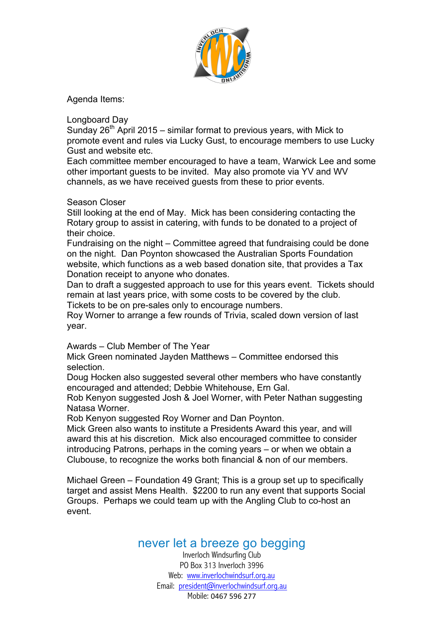

Agenda Items:

Longboard Day

Sunday  $26^{th}$  April 2015 – similar format to previous years, with Mick to promote event and rules via Lucky Gust, to encourage members to use Lucky Gust and website etc.

Each committee member encouraged to have a team, Warwick Lee and some other important guests to be invited. May also promote via YV and WV channels, as we have received guests from these to prior events.

### Season Closer

Still looking at the end of May. Mick has been considering contacting the Rotary group to assist in catering, with funds to be donated to a project of their choice.

Fundraising on the night – Committee agreed that fundraising could be done on the night. Dan Poynton showcased the Australian Sports Foundation website, which functions as a web based donation site, that provides a Tax Donation receipt to anyone who donates.

Dan to draft a suggested approach to use for this years event. Tickets should remain at last years price, with some costs to be covered by the club. Tickets to be on pre-sales only to encourage numbers.

Roy Worner to arrange a few rounds of Trivia, scaled down version of last year.

Awards – Club Member of The Year

Mick Green nominated Jayden Matthews – Committee endorsed this selection.

Doug Hocken also suggested several other members who have constantly encouraged and attended; Debbie Whitehouse, Ern Gal.

Rob Kenyon suggested Josh & Joel Worner, with Peter Nathan suggesting Natasa Worner.

Rob Kenyon suggested Roy Worner and Dan Poynton.

Mick Green also wants to institute a Presidents Award this year, and will award this at his discretion. Mick also encouraged committee to consider introducing Patrons, perhaps in the coming years – or when we obtain a Clubouse, to recognize the works both financial & non of our members.

Michael Green – Foundation 49 Grant; This is a group set up to specifically target and assist Mens Health. \$2200 to run any event that supports Social Groups. Perhaps we could team up with the Angling Club to co-host an event.

# never let a breeze go begging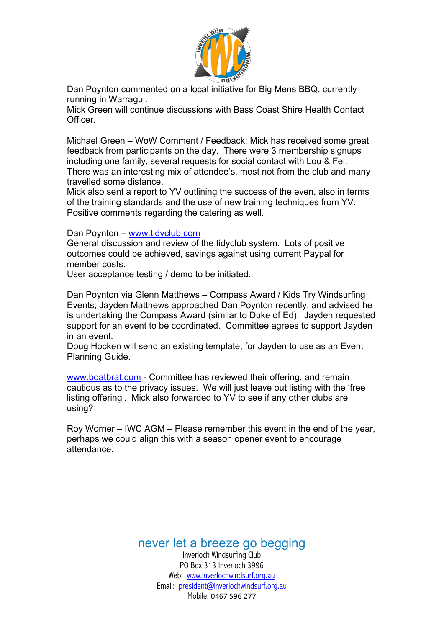

Dan Poynton commented on a local initiative for Big Mens BBQ, currently running in Warragul.

Mick Green will continue discussions with Bass Coast Shire Health Contact **Officer** 

Michael Green – WoW Comment / Feedback; Mick has received some great feedback from participants on the day. There were 3 membership signups including one family, several requests for social contact with Lou & Fei. There was an interesting mix of attendee's, most not from the club and many travelled some distance.

Mick also sent a report to YV outlining the success of the even, also in terms of the training standards and the use of new training techniques from YV. Positive comments regarding the catering as well.

#### Dan Poynton – www.tidyclub.com

General discussion and review of the tidyclub system. Lots of positive outcomes could be achieved, savings against using current Paypal for member costs.

User acceptance testing / demo to be initiated.

Dan Poynton via Glenn Matthews – Compass Award / Kids Try Windsurfing Events; Jayden Matthews approached Dan Poynton recently, and advised he is undertaking the Compass Award (similar to Duke of Ed). Jayden requested support for an event to be coordinated. Committee agrees to support Jayden in an event.

Doug Hocken will send an existing template, for Jayden to use as an Event Planning Guide.

www.boatbrat.com - Committee has reviewed their offering, and remain cautious as to the privacy issues. We will just leave out listing with the 'free listing offering'. Mick also forwarded to YV to see if any other clubs are using?

Roy Worner – IWC AGM – Please remember this event in the end of the year, perhaps we could align this with a season opener event to encourage attendance.

never let a breeze go begging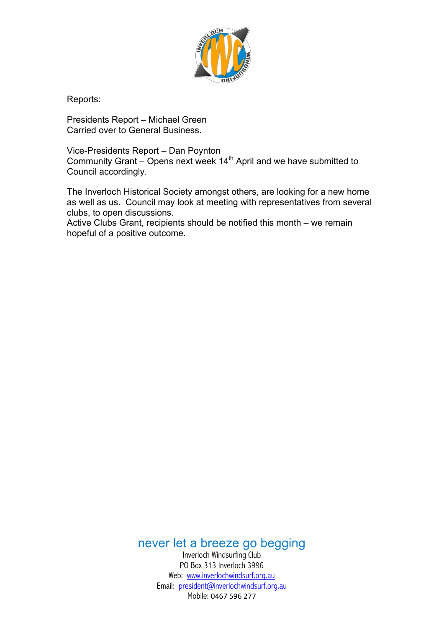

Reports:

Presidents Report – Michael Green Carried over to General Business.

Vice-Presidents Report – Dan Poynton Community Grant – Opens next week  $14<sup>th</sup>$  April and we have submitted to Council accordingly.

The Inverloch Historical Society amongst others, are looking for a new home as well as us. Council may look at meeting with representatives from several clubs, to open discussions.

Active Clubs Grant, recipients should be notified this month – we remain hopeful of a positive outcome.

never let a breeze go begging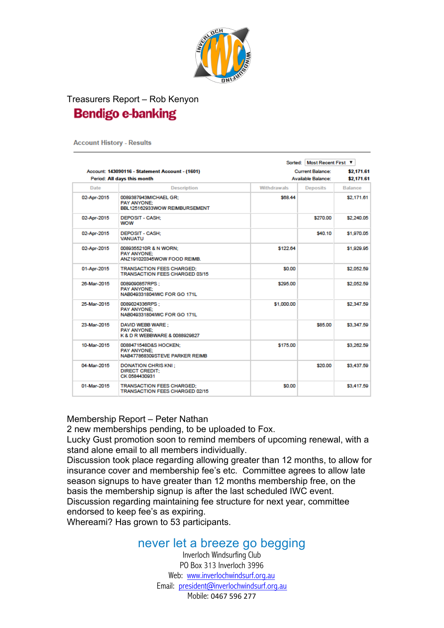

# Treasurers Report – Rob Kenyon **Bendigo e-banking**

**Account History - Results** 

|             |                                                                               |                           | Sorted: Most Recent First V |                |  |
|-------------|-------------------------------------------------------------------------------|---------------------------|-----------------------------|----------------|--|
|             | Account: 143090116 - Statement Account - (1601)                               |                           | <b>Current Balance:</b>     | \$2,171.61     |  |
|             | Period: All days this month                                                   | <b>Available Balance:</b> | \$2,171.61                  |                |  |
| Date        | <b>Description</b>                                                            | <b>Withdrawals</b>        | <b>Deposits</b>             | <b>Balance</b> |  |
| 02-Apr-2015 | 0089387943MICHAEL GR:<br><b>PAY ANYONE:</b><br>BBL125162933WOW REIMBURSEMENT  | \$68.44                   |                             | \$2,171.61     |  |
| 02-Apr-2015 | <b>DEPOSIT - CASH:</b><br><b>WOW</b>                                          |                           | \$270.00                    | \$2,240.05     |  |
| 02-Apr-2015 | <b>DEPOSIT - CASH:</b><br><b>VANUATU</b>                                      |                           | \$40.10                     | \$1,970.05     |  |
| 02-Apr-2015 | 0089355210R & N WORN:<br>PAY ANYONE:<br>ANZ191020345WOW FOOD REIMB.           | \$122.64                  |                             | \$1,929.95     |  |
| 01-Apr-2015 | <b>TRANSACTION FEES CHARGED:</b><br><b>TRANSACTION FEES CHARGED 03/15</b>     | \$0.00                    |                             | \$2,052.59     |  |
| 26-Mar-2015 | 0089090857RPS:<br><b>PAY ANYONE:</b><br>NAB049331804IWC FOR GO 171L           | \$295.00                  |                             | \$2,052.59     |  |
| 25-Mar-2015 | 0089024336RPS:<br><b>PAY ANYONE:</b><br>NAB049331804IWC FOR GO 171L           | \$1,000.00                |                             | \$2,347.59     |  |
| 23-Mar-2015 | DAVID WEBB WARE:<br><b>PAY ANYONE:</b><br>K & D R WEBBWARE & 0088929827       |                           | \$85.00                     | \$3,347.59     |  |
| 10-Mar-2015 | 0088471548D&S HOCKEN:<br><b>PAY ANYONE:</b><br>NAB477868309STEVE PARKER REIMB | \$175.00                  |                             | \$3,262.59     |  |
| 04-Mar-2015 | <b>DONATION CHRIS KNI:</b><br><b>DIRECT CREDIT:</b><br>CK 0584430931          |                           | \$20.00                     | \$3,437.59     |  |
| 01-Mar-2015 | <b>TRANSACTION FEES CHARGED:</b><br><b>TRANSACTION FEES CHARGED 02/15</b>     | \$0.00                    |                             | \$3,417.59     |  |

### Membership Report – Peter Nathan

2 new memberships pending, to be uploaded to Fox.

Lucky Gust promotion soon to remind members of upcoming renewal, with a stand alone email to all members individually.

Discussion took place regarding allowing greater than 12 months, to allow for insurance cover and membership fee's etc. Committee agrees to allow late season signups to have greater than 12 months membership free, on the basis the membership signup is after the last scheduled IWC event. Discussion regarding maintaining fee structure for next year, committee

endorsed to keep fee's as expiring.

Whereami? Has grown to 53 participants.

## never let a breeze go begging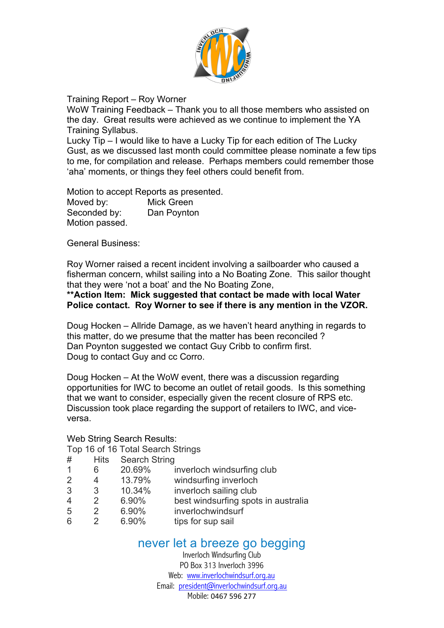

### Training Report – Roy Worner

WoW Training Feedback – Thank you to all those members who assisted on the day. Great results were achieved as we continue to implement the YA Training Syllabus.

Lucky Tip – I would like to have a Lucky Tip for each edition of The Lucky Gust, as we discussed last month could committee please nominate a few tips to me, for compilation and release. Perhaps members could remember those 'aha' moments, or things they feel others could benefit from.

Motion to accept Reports as presented. Moved by: Mick Green Seconded by: Dan Poynton Motion passed.

General Business:

Roy Worner raised a recent incident involving a sailboarder who caused a fisherman concern, whilst sailing into a No Boating Zone. This sailor thought that they were 'not a boat' and the No Boating Zone,

### **\*\*Action Item: Mick suggested that contact be made with local Water Police contact. Roy Worner to see if there is any mention in the VZOR.**

Doug Hocken – Allride Damage, as we haven't heard anything in regards to this matter, do we presume that the matter has been reconciled ? Dan Poynton suggested we contact Guy Cribb to confirm first. Doug to contact Guy and cc Corro.

Doug Hocken – At the WoW event, there was a discussion regarding opportunities for IWC to become an outlet of retail goods. Is this something that we want to consider, especially given the recent closure of RPS etc. Discussion took place regarding the support of retailers to IWC, and viceversa.

### Web String Search Results:

Top 16 of 16 Total Search Strings

| #              | <b>Hits</b>   | <b>Search String</b> |                                     |
|----------------|---------------|----------------------|-------------------------------------|
| 1              | 6             | 20.69%               | inverloch windsurfing club          |
| 2              | 4             | 13.79%               | windsurfing inverloch               |
| 3              | 3             | 10.34%               | inverloch sailing club              |
| $\overline{4}$ | $\mathcal{P}$ | 6.90%                | best windsurfing spots in australia |
| 5              | $\mathcal{P}$ | 6.90%                | inverlochwindsurf                   |
| 6              |               | 6.90%                | tips for sup sail                   |
|                |               |                      |                                     |

## never let a breeze go begging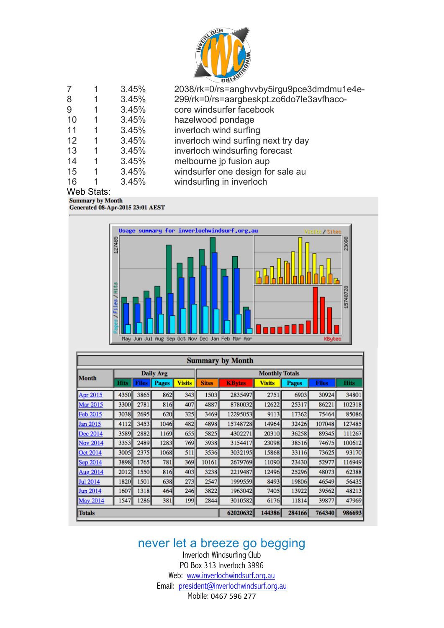

| 7  |            | 3.45% | 2038/rk=0/rs=anghvvby5irgu9pce3dmdmu1e4e- |
|----|------------|-------|-------------------------------------------|
| 8  | 1          | 3.45% | 299/rk=0/rs=aargbeskpt.zo6do7le3avfhaco-  |
| 9  | 1          | 3.45% | core windsurfer facebook                  |
| 10 |            | 3.45% | hazelwood pondage                         |
| 11 |            | 3.45% | inverloch wind surfing                    |
| 12 |            | 3.45% | inverloch wind surfing next try day       |
| 13 |            | 3.45% | inverloch windsurfing forecast            |
| 14 |            | 3.45% | melbourne jp fusion aup                   |
| 15 | 1          | 3.45% | windsurfer one design for sale au         |
| 16 |            | 3.45% | windsurfing in inverloch                  |
|    | Web Stats: |       |                                           |

## Web Stats.<br>Summary by Month

Generated 08-Apr-2015 23:01 AEST



| <b>Summary by Month</b> |                  |              |              |                       |              |               |               |              |              |             |
|-------------------------|------------------|--------------|--------------|-----------------------|--------------|---------------|---------------|--------------|--------------|-------------|
|                         | <b>Daily Avg</b> |              |              | <b>Monthly Totals</b> |              |               |               |              |              |             |
| Month                   | Hits             | <b>Files</b> | <b>Pages</b> | <b>Visits</b>         | <b>Sites</b> | <b>KBytes</b> | <b>Visits</b> | <b>Pages</b> | <b>Files</b> | <b>Hits</b> |
| Apr 2015                | 4350             | 3865         | 862          | 343                   | 1503         | 2835497       | 2751          | 6903         | 30924        | 34801       |
| Mar 2015                | 3300             | 2781         | 816          | 407                   | 4887         | 8780032       | 12622         | 25317        | 86221        | 102318      |
| <b>Feb 2015</b>         | 3038             | 2695         | 620          | 325                   | 3469         | 12295053      | 9113          | 17362        | 75464        | 85086       |
| <b>Jan 2015</b>         | 4112             | 3453         | 1046         | 482                   | 4898         | 15748728      | 14964         | 32426        | 107048       | 127485      |
| Dec 2014                | 3589             | 2882         | 1169         | 655                   | 5825         | 4302271       | 20310         | 36258        | 89345        | 111267      |
| Nov 2014                | 3353             | 2489         | 1283         | 769                   | 3938         | 3154417       | 23098         | 38516        | 74675        | 100612      |
| Oct 2014                | 3005             | 2375         | 1068         | 511                   | 3536         | 3032195       | 15868         | 33116        | 73625        | 93170       |
| Sep 2014                | 3898             | 1765         | 781          | 369                   | 10161        | 2679769       | 11090         | 23430        | 52977        | 116949      |
| Aug 2014                | 2012             | 1550         | 816          | 403                   | 3238         | 2219487       | 12496         | 25296        | 48073        | 62388       |
| Jul 2014                | 1820             | 1501         | 638          | 273                   | 2547         | 1999559       | 8493          | 19806        | 46549        | 56435       |
| Jun 2014                | 1607             | 1318         | 464          | 246                   | 3822         | 1963042       | 7405          | 13922        | 39562        | 48213       |
| May 2014                | 1547             | 1286         | 381          | 199                   | 2844         | 3010582       | 6176          | 11814        | 39877        | 47969       |
| <b>Totals</b>           |                  |              |              |                       |              | 62020632      | 144386        | 284166       | 764340       | 986693      |

never let a breeze go begging